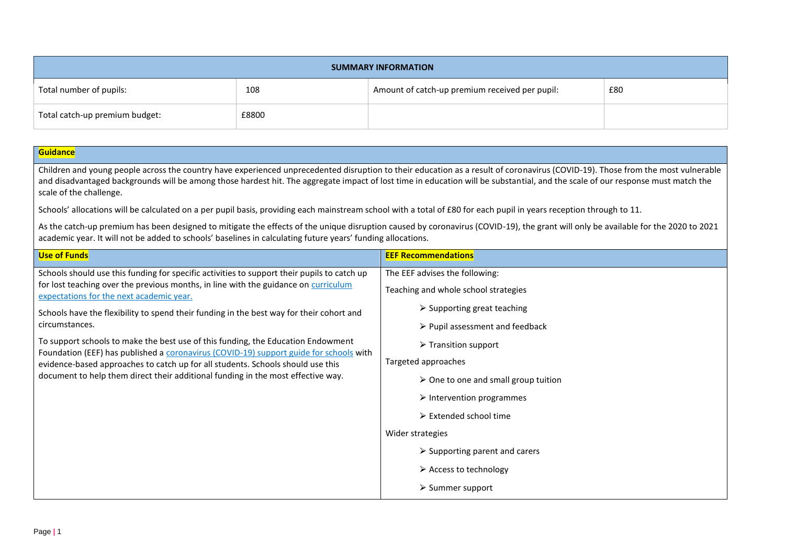| <b>SUMMARY INFORMATION</b>     |       |                                                |     |  |
|--------------------------------|-------|------------------------------------------------|-----|--|
| Total number of pupils:        | 108   | Amount of catch-up premium received per pupil: | £80 |  |
| Total catch-up premium budget: | £8800 |                                                |     |  |

| <b>Guidance</b>                                                                                                                                                                                                                                                                                                                                                                                                                                                                                                                                                                                    |                                                                                                                                                                                                    |                                               |  |                                                     |                                          |
|----------------------------------------------------------------------------------------------------------------------------------------------------------------------------------------------------------------------------------------------------------------------------------------------------------------------------------------------------------------------------------------------------------------------------------------------------------------------------------------------------------------------------------------------------------------------------------------------------|----------------------------------------------------------------------------------------------------------------------------------------------------------------------------------------------------|-----------------------------------------------|--|-----------------------------------------------------|------------------------------------------|
| Children and young people across the country have experienced unprecedented disruption to their education as a result of coronavirus (COVID-19). Those from the most vulnerable<br>and disadvantaged backgrounds will be among those hardest hit. The aggregate impact of lost time in education will be substantial, and the scale of our response must match the<br>scale of the challenge.                                                                                                                                                                                                      |                                                                                                                                                                                                    |                                               |  |                                                     |                                          |
| Schools' allocations will be calculated on a per pupil basis, providing each mainstream school with a total of £80 for each pupil in years reception through to 11.                                                                                                                                                                                                                                                                                                                                                                                                                                |                                                                                                                                                                                                    |                                               |  |                                                     |                                          |
| As the catch-up premium has been designed to mitigate the effects of the unique disruption caused by coronavirus (COVID-19), the grant will only be available for the 2020 to 2021<br>academic year. It will not be added to schools' baselines in calculating future years' funding allocations.                                                                                                                                                                                                                                                                                                  |                                                                                                                                                                                                    |                                               |  |                                                     |                                          |
| <b>Use of Funds</b>                                                                                                                                                                                                                                                                                                                                                                                                                                                                                                                                                                                | <b>EEF Recommendations</b>                                                                                                                                                                         |                                               |  |                                                     |                                          |
| Schools should use this funding for specific activities to support their pupils to catch up                                                                                                                                                                                                                                                                                                                                                                                                                                                                                                        | The EEF advises the following:                                                                                                                                                                     |                                               |  |                                                     |                                          |
| for lost teaching over the previous months, in line with the guidance on curriculum<br>expectations for the next academic year.<br>Schools have the flexibility to spend their funding in the best way for their cohort and<br>circumstances.<br>To support schools to make the best use of this funding, the Education Endowment<br>Foundation (EEF) has published a coronavirus (COVID-19) support guide for schools with<br>evidence-based approaches to catch up for all students. Schools should use this<br>document to help them direct their additional funding in the most effective way. | Teaching and whole school strategies<br>$\triangleright$ Supporting great teaching<br>$\triangleright$ Pupil assessment and feedback<br>$\triangleright$ Transition support<br>Targeted approaches |                                               |  |                                                     |                                          |
|                                                                                                                                                                                                                                                                                                                                                                                                                                                                                                                                                                                                    |                                                                                                                                                                                                    |                                               |  | $\triangleright$ One to one and small group tuition |                                          |
|                                                                                                                                                                                                                                                                                                                                                                                                                                                                                                                                                                                                    |                                                                                                                                                                                                    |                                               |  |                                                     | $\triangleright$ Intervention programmes |
|                                                                                                                                                                                                                                                                                                                                                                                                                                                                                                                                                                                                    |                                                                                                                                                                                                    |                                               |  |                                                     | $\triangleright$ Extended school time    |
|                                                                                                                                                                                                                                                                                                                                                                                                                                                                                                                                                                                                    |                                                                                                                                                                                                    |                                               |  |                                                     | Wider strategies                         |
|                                                                                                                                                                                                                                                                                                                                                                                                                                                                                                                                                                                                    |                                                                                                                                                                                                    | $\triangleright$ Supporting parent and carers |  |                                                     |                                          |
|                                                                                                                                                                                                                                                                                                                                                                                                                                                                                                                                                                                                    | $\triangleright$ Access to technology                                                                                                                                                              |                                               |  |                                                     |                                          |
|                                                                                                                                                                                                                                                                                                                                                                                                                                                                                                                                                                                                    | $\triangleright$ Summer support                                                                                                                                                                    |                                               |  |                                                     |                                          |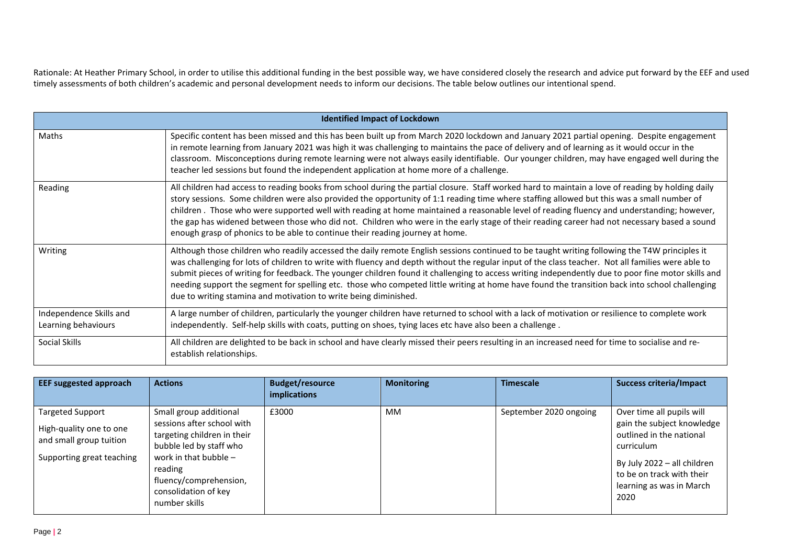Rationale: At Heather Primary School, in order to utilise this additional funding in the best possible way, we have considered closely the research and advice put forward by the EEF and used timely assessments of both children's academic and personal development needs to inform our decisions. The table below outlines our intentional spend.

| <b>Identified Impact of Lockdown</b>           |                                                                                                                                                                                                                                                                                                                                                                                                                                                                                                                                                                                                                                                                                 |  |  |  |
|------------------------------------------------|---------------------------------------------------------------------------------------------------------------------------------------------------------------------------------------------------------------------------------------------------------------------------------------------------------------------------------------------------------------------------------------------------------------------------------------------------------------------------------------------------------------------------------------------------------------------------------------------------------------------------------------------------------------------------------|--|--|--|
| Maths                                          | Specific content has been missed and this has been built up from March 2020 lockdown and January 2021 partial opening. Despite engagement<br>in remote learning from January 2021 was high it was challenging to maintains the pace of delivery and of learning as it would occur in the<br>classroom. Misconceptions during remote learning were not always easily identifiable. Our younger children, may have engaged well during the<br>teacher led sessions but found the independent application at home more of a challenge.                                                                                                                                             |  |  |  |
| Reading                                        | All children had access to reading books from school during the partial closure. Staff worked hard to maintain a love of reading by holding daily<br>story sessions. Some children were also provided the opportunity of 1:1 reading time where staffing allowed but this was a small number of<br>children. Those who were supported well with reading at home maintained a reasonable level of reading fluency and understanding; however,<br>the gap has widened between those who did not. Children who were in the early stage of their reading career had not necessary based a sound<br>enough grasp of phonics to be able to continue their reading journey at home.    |  |  |  |
| Writing                                        | Although those children who readily accessed the daily remote English sessions continued to be taught writing following the T4W principles it<br>was challenging for lots of children to write with fluency and depth without the regular input of the class teacher. Not all families were able to<br>submit pieces of writing for feedback. The younger children found it challenging to access writing independently due to poor fine motor skills and<br>needing support the segment for spelling etc. those who competed little writing at home have found the transition back into school challenging<br>due to writing stamina and motivation to write being diminished. |  |  |  |
| Independence Skills and<br>Learning behaviours | A large number of children, particularly the younger children have returned to school with a lack of motivation or resilience to complete work<br>independently. Self-help skills with coats, putting on shoes, tying laces etc have also been a challenge.                                                                                                                                                                                                                                                                                                                                                                                                                     |  |  |  |
| Social Skills                                  | All children are delighted to be back in school and have clearly missed their peers resulting in an increased need for time to socialise and re-<br>establish relationships.                                                                                                                                                                                                                                                                                                                                                                                                                                                                                                    |  |  |  |

| <b>EEF suggested approach</b>                                                                              | <b>Actions</b>                                                                                                                                                                                                          | <b>Budget/resource</b><br><b>implications</b> | <b>Monitoring</b> | <b>Timescale</b>       | <b>Success criteria/Impact</b>                                                                                                                                                                    |
|------------------------------------------------------------------------------------------------------------|-------------------------------------------------------------------------------------------------------------------------------------------------------------------------------------------------------------------------|-----------------------------------------------|-------------------|------------------------|---------------------------------------------------------------------------------------------------------------------------------------------------------------------------------------------------|
| <b>Targeted Support</b><br>High-quality one to one<br>and small group tuition<br>Supporting great teaching | Small group additional<br>sessions after school with<br>targeting children in their<br>bubble led by staff who<br>work in that bubble $-$<br>reading<br>fluency/comprehension,<br>consolidation of key<br>number skills | £3000                                         | MM                | September 2020 ongoing | Over time all pupils will<br>gain the subject knowledge<br>outlined in the national<br>curriculum<br>By July 2022 - all children<br>to be on track with their<br>learning as was in March<br>2020 |